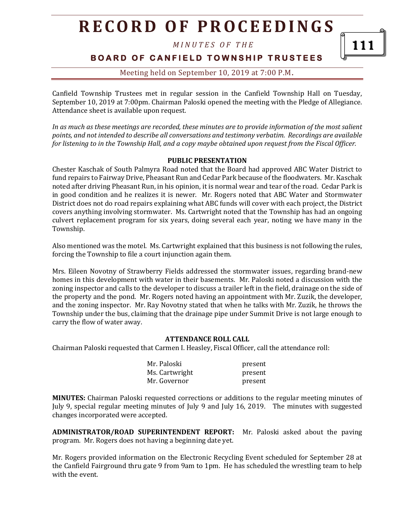# **R E C O R D O F P R O C E E D I N G S**

*M I N U T E S O F T H E* 

111

**BOARD OF CANFIELD TOWNSHIP TRUSTEES** 

## Meeting held on September 10, 2019 at 7:00 P.M**.**

Canfield Township Trustees met in regular session in the Canfield Township Hall on Tuesday, September 10, 2019 at 7:00pm. Chairman Paloski opened the meeting with the Pledge of Allegiance. Attendance sheet is available upon request.

*In as much as these meetings are recorded, these minutes are to provide information of the most salient points, and not intended to describe all conversations and testimony verbatim. Recordings are available for listening to in the Township Hall, and a copy maybe obtained upon request from the Fiscal Officer.* 

### **PUBLIC PRESENTATION**

Chester Kaschak of South Palmyra Road noted that the Board had approved ABC Water District to fund repairs to Fairway Drive, Pheasant Run and Cedar Park because of the floodwaters. Mr. Kaschak noted after driving Pheasant Run, in his opinion, it is normal wear and tear of the road. Cedar Park is in good condition and he realizes it is newer. Mr. Rogers noted that ABC Water and Stormwater District does not do road repairs explaining what ABC funds will cover with each project, the District covers anything involving stormwater. Ms. Cartwright noted that the Township has had an ongoing culvert replacement program for six years, doing several each year, noting we have many in the Township.

Also mentioned was the motel. Ms. Cartwright explained that this business is not following the rules, forcing the Township to file a court injunction again them.

Mrs. Eileen Novotny of Strawberry Fields addressed the stormwater issues, regarding brand-new homes in this development with water in their basements. Mr. Paloski noted a discussion with the zoning inspector and calls to the developer to discuss a trailer left in the field, drainage on the side of the property and the pond. Mr. Rogers noted having an appointment with Mr. Zuzik, the developer, and the zoning inspector. Mr. Ray Novotny stated that when he talks with Mr. Zuzik, he throws the Township under the bus, claiming that the drainage pipe under Summit Drive is not large enough to carry the flow of water away.

#### **ATTENDANCE ROLL CALL**

Chairman Paloski requested that Carmen I. Heasley, Fiscal Officer, call the attendance roll:

| Mr. Paloski    | present |
|----------------|---------|
| Ms. Cartwright | present |
| Mr. Governor   | present |

**MINUTES:** Chairman Paloski requested corrections or additions to the regular meeting minutes of July 9, special regular meeting minutes of July 9 and July 16, 2019. The minutes with suggested changes incorporated were accepted.

**ADMINISTRATOR/ROAD SUPERINTENDENT REPORT:** Mr. Paloski asked about the paving program. Mr. Rogers does not having a beginning date yet.

Mr. Rogers provided information on the Electronic Recycling Event scheduled for September 28 at the Canfield Fairground thru gate 9 from 9am to 1pm. He has scheduled the wrestling team to help with the event.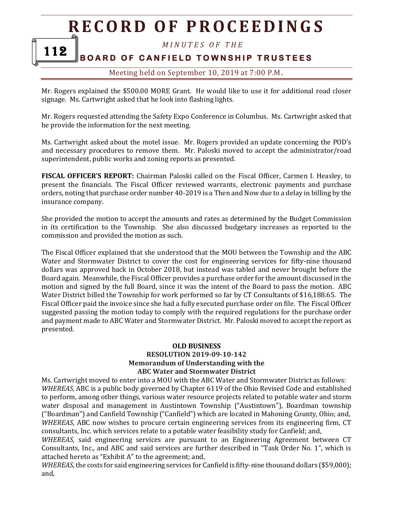# **R E C O R D O F P R O C E E D I N GS**

*M I N U T E S O F T H E* 

#### **BOARD OF CANFIELD TOWNSHIP TRUSTEES** 112

## Meeting held on September 10, 2019 at 7:00 P.M**.**

Mr. Rogers explained the \$500.00 MORE Grant. He would like to use it for additional road closer signage. Ms. Cartwright asked that he look into flashing lights.

Mr. Rogers requested attending the Safety Expo Conference in Columbus. Ms. Cartwright asked that he provide the information for the next meeting.

Ms. Cartwright asked about the motel issue. Mr. Rogers provided an update concerning the POD's and necessary procedures to remove them. Mr. Paloski moved to accept the administrator/road superintendent, public works and zoning reports as presented.

**FISCAL OFFICER'S REPORT:** Chairman Paloski called on the Fiscal Officer, Carmen I. Heasley, to present the financials. The Fiscal Officer reviewed warrants, electronic payments and purchase orders, noting that purchase order number 40-2019 is a Then and Now due to a delay in billing by the insurance company.

She provided the motion to accept the amounts and rates as determined by the Budget Commission in its certification to the Township. She also discussed budgetary increases as reported to the commission and provided the motion as such.

The Fiscal Officer explained that she understood that the MOU between the Township and the ABC Water and Stormwater District to cover the cost for engineering services for fifty-nine thousand dollars was approved back in October 2018, but instead was tabled and never brought before the Board again. Meanwhile, the Fiscal Officer provides a purchase order for the amount discussed in the motion and signed by the full Board, since it was the intent of the Board to pass the motion. ABC Water District billed the Township for work performed so far by CT Consultants of \$16,188.65. The Fiscal Officer paid the invoice since she had a fully executed purchase order on file. The Fiscal Officer suggested passing the motion today to comply with the required regulations for the purchase order and payment made to ABC Water and Stormwater District. Mr. Paloski moved to accept the report as presented.

#### **OLD BUSINESS RESOLUTION 2019-09-10-142 Memorandum of Understanding with the ABC Water and Stormwater District**

Ms. Cartwright moved to enter into a MOU with the ABC Water and Stormwater District as follows: *WHEREAS,* ABC is a public body governed by Chapter 6119 of the Ohio Revised Code and established to perform, among other things, various water resource projects related to potable water and storm water disposal and management in Austintown Township ("Austintown"), Boardman township ("Boardman") and Canfield Township ("Canfield") which are located in Mahoning County, Ohio; and, *WHEREAS,* ABC now wishes to procure certain engineering services from its engineering firm, CT consultants, Inc. which services relate to a potable water feasibility study for Canfield; and,

*WHEREAS,* said engineering services are pursuant to an Engineering Agreement between CT Consultants, Inc., and ABC and said services are further described in "Task Order No. 1", which is attached hereto as "Exhibit A" to the agreement; and,

*WHEREAS,*the costs for said engineering services for Canfield is fifty-nine thousand dollars (\$59,000); and,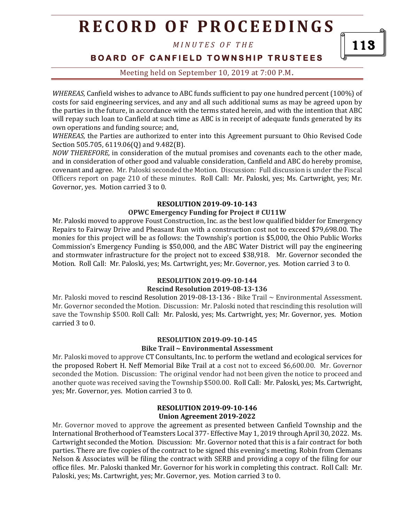# **R E C O R D O F P R O C E E D I N G S**

*M I N U T E S O F T H E* 

113

**BOARD OF CANFIELD TOWNSHIP TRUSTEES** 

Meeting held on September 10, 2019 at 7:00 P.M**.**

*WHEREAS,* Canfield wishes to advance to ABC funds sufficient to pay one hundred percent (100%) of costs for said engineering services, and any and all such additional sums as may be agreed upon by the parties in the future, in accordance with the terms stated herein, and with the intention that ABC will repay such loan to Canfield at such time as ABC is in receipt of adequate funds generated by its own operations and funding source; and,

*WHEREAS,* the Parties are authorized to enter into this Agreement pursuant to Ohio Revised Code Section 505.705, 6119.06(Q) and 9.482(B).

*NOW THEREFORE,* in consideration of the mutual promises and covenants each to the other made, and in consideration of other good and valuable consideration, Canfield and ABC do hereby promise, covenant and agree. Mr. Paloski seconded the Motion. Discussion: Full discussion is under the Fiscal Officers report on page 210 of these minutes. Roll Call: Mr. Paloski, yes; Ms. Cartwright, yes; Mr. Governor, yes. Motion carried 3 to 0.

#### **RESOLUTION 2019-09-10-143**

### **OPWC Emergency Funding for Project # CU11W**

Mr. Paloski moved to approve Foust Construction, Inc. as the best low qualified bidder for Emergency Repairs to Fairway Drive and Pheasant Run with a construction cost not to exceed \$79,698.00. The monies for this project will be as follows: the Township's portion is \$5,000, the Ohio Public Works Commission's Emergency Funding is \$50,000, and the ABC Water District will pay the engineering and stormwater infrastructure for the project not to exceed \$38,918. Mr. Governor seconded the Motion. Roll Call: Mr. Paloski, yes; Ms. Cartwright, yes; Mr. Governor, yes. Motion carried 3 to 0.

#### **RESOLUTION 2019-09-10-144**

#### **Rescind Resolution 2019-08-13-136**

Mr. Paloski moved to rescind Resolution 2019-08-13-136 - Bike Trail  $\sim$  Environmental Assessment. Mr. Governor seconded the Motion. Discussion: Mr. Paloski noted that rescinding this resolution will save the Township \$500. Roll Call: Mr. Paloski, yes; Ms. Cartwright, yes; Mr. Governor, yes. Motion carried 3 to 0.

#### **RESOLUTION 2019-09-10-145 Bike Trail ~ Environmental Assessment**

Mr. Paloski moved to approve CT Consultants, Inc. to perform the wetland and ecological services for the proposed Robert H. Neff Memorial Bike Trail at a cost not to exceed \$6,600.00. Mr. Governor seconded the Motion. Discussion: The original vendor had not been given the notice to proceed and another quote was received saving the Township \$500.00. Roll Call: Mr. Paloski, yes; Ms. Cartwright, yes; Mr. Governor, yes. Motion carried 3 to 0.

#### **RESOLUTION 2019-09-10-146 Union Agreement 2019-2022**

Mr. Governor moved to approve the agreement as presented between Canfield Township and the International Brotherhood of Teamsters Local 377- Effective May 1, 2019 through April 30, 2022. Ms. Cartwright seconded the Motion. Discussion: Mr. Governor noted that this is a fair contract for both parties. There are five copies of the contract to be signed this evening's meeting. Robin from Clemans Nelson & Associates will be filing the contract with SERB and providing a copy of the filing for our office files. Mr. Paloski thanked Mr. Governor for his work in completing this contract. Roll Call: Mr. Paloski, yes; Ms. Cartwright, yes; Mr. Governor, yes. Motion carried 3 to 0.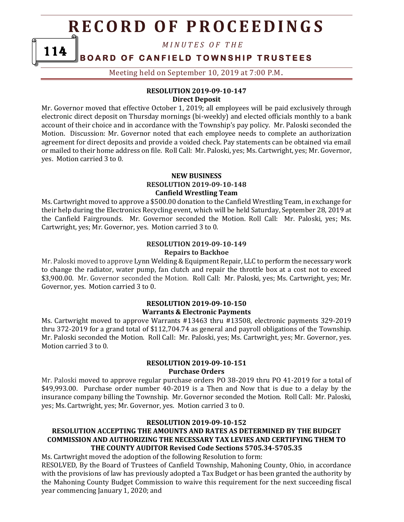# **R E C O R D O F P R O C E E D I N GS**

*M I N U T E S O F T H E* 

#### **BOARD OF CANFIELD TOWNSHIP TRUSTEES** 114

Meeting held on September 10, 2019 at 7:00 P.M**.**

### **RESOLUTION 2019-09-10-147 Direct Deposit**

Mr. Governor moved that effective October 1, 2019; all employees will be paid exclusively through electronic direct deposit on Thursday mornings (bi-weekly) and elected officials monthly to a bank account of their choice and in accordance with the Township's pay policy. Mr. Paloski seconded the Motion. Discussion: Mr. Governor noted that each employee needs to complete an authorization agreement for direct deposits and provide a voided check. Pay statements can be obtained via email or mailed to their home address on file. Roll Call: Mr. Paloski, yes; Ms. Cartwright, yes; Mr. Governor, yes. Motion carried 3 to 0.

#### **NEW BUSINESS RESOLUTION 2019-09-10-148 Canfield Wrestling Team**

Ms. Cartwright moved to approve a \$500.00 donation to the Canfield Wrestling Team, in exchange for their help during the Electronics Recycling event, which will be held Saturday, September 28, 2019 at the Canfield Fairgrounds. Mr. Governor seconded the Motion. Roll Call: Mr. Paloski, yes; Ms. Cartwright, yes; Mr. Governor, yes. Motion carried 3 to 0.

### **RESOLUTION 2019-09-10-149 Repairs to Backhoe**

Mr. Paloski moved to approve Lynn Welding & Equipment Repair, LLC to perform the necessary work to change the radiator, water pump, fan clutch and repair the throttle box at a cost not to exceed \$3,900.00. Mr. Governor seconded the Motion. Roll Call: Mr. Paloski, yes; Ms. Cartwright, yes; Mr. Governor, yes. Motion carried 3 to 0.

#### **RESOLUTION 2019-09-10-150 Warrants & Electronic Payments**

Ms. Cartwright moved to approve Warrants #13463 thru #13508, electronic payments 329-2019 thru 372-2019 for a grand total of \$112,704.74 as general and payroll obligations of the Township. Mr. Paloski seconded the Motion. Roll Call: Mr. Paloski, yes; Ms. Cartwright, yes; Mr. Governor, yes. Motion carried 3 to 0.

### **RESOLUTION 2019-09-10-151 Purchase Orders**

Mr. Paloski moved to approve regular purchase orders PO 38-2019 thru PO 41-2019 for a total of \$49,993.00. Purchase order number 40-2019 is a Then and Now that is due to a delay by the insurance company billing the Township. Mr. Governor seconded the Motion. Roll Call: Mr. Paloski, yes; Ms. Cartwright, yes; Mr. Governor, yes. Motion carried 3 to 0.

#### **RESOLUTION 2019-09-10-152**

### **RESOLUTION ACCEPTING THE AMOUNTS AND RATES AS DETERMINED BY THE BUDGET COMMISSION AND AUTHORIZING THE NECESSARY TAX LEVIES AND CERTIFYING THEM TO THE COUNTY AUDITOR Revised Code Sections 5705.34-5705.35**

Ms. Cartwright moved the adoption of the following Resolution to form: RESOLVED, By the Board of Trustees of Canfield Township, Mahoning County, Ohio, in accordance with the provisions of law has previously adopted a Tax Budget or has been granted the authority by the Mahoning County Budget Commission to waive this requirement for the next succeeding fiscal year commencing January 1, 2020; and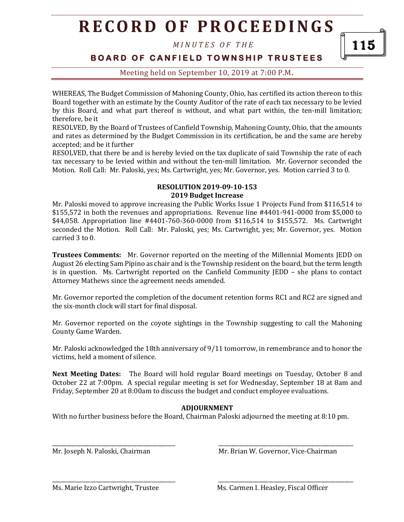# **R E C O R D O F P R O C E E D I N G S**

*M I N U T E S O F T H E* 

115

## **BOARD OF CANFIELD TOWNSHIP TRUSTEES**

## Meeting held on September 10, 2019 at 7:00 P.M**.**

WHEREAS, The Budget Commission of Mahoning County, Ohio, has certified its action thereon to this Board together with an estimate by the County Auditor of the rate of each tax necessary to be levied by this Board, and what part thereof is without, and what part within, the ten-mill limitation; therefore, be it

RESOLVED, By the Board of Trustees of Canfield Township, Mahoning County, Ohio, that the amounts and rates as determined by the Budget Commission in its certification, be and the same are hereby accepted; and be it further

RESOLVED, that there be and is hereby levied on the tax duplicate of said Township the rate of each tax necessary to be levied within and without the ten-mill limitation. Mr. Governor seconded the Motion. Roll Call: Mr. Paloski, yes; Ms. Cartwright, yes; Mr. Governor, yes. Motion carried 3 to 0.

#### **RESOLUTION 2019-09-10-153 2019 Budget Increase**

Mr. Paloski moved to approve increasing the Public Works Issue 1 Projects Fund from \$116,514 to \$155,572 in both the revenues and appropriations. Revenue line #4401-941-0000 from \$5,000 to \$44,058. Appropriation line #4401-760-360-0000 from \$116,514 to \$155,572. Ms. Cartwright seconded the Motion. Roll Call: Mr. Paloski, yes; Ms. Cartwright, yes; Mr. Governor, yes. Motion carried 3 to 0.

**Trustees Comments:** Mr. Governor reported on the meeting of the Millennial Moments JEDD on August 26 electing Sam Pipino as chair and is the Township resident on the board, but the term length is in question. Ms. Cartwright reported on the Canfield Community JEDD – she plans to contact Attorney Mathews since the agreement needs amended.

Mr. Governor reported the completion of the document retention forms RC1 and RC2 are signed and the six-month clock will start for final disposal.

Mr. Governor reported on the coyote sightings in the Township suggesting to call the Mahoning County Game Warden.

Mr. Paloski acknowledged the 18th anniversary of 9/11 tomorrow, in remembrance and to honor the victims, held a moment of silence.

**Next Meeting Dates:** The Board will hold regular Board meetings on Tuesday, October 8 and October 22 at 7:00pm. A special regular meeting is set for Wednesday, September 18 at 8am and Friday, September 20 at 8:00am to discuss the budget and conduct employee evaluations.

## **ADJOURNMENT**

With no further business before the Board, Chairman Paloski adjourned the meeting at 8:10 pm.

\_\_\_\_\_\_\_\_\_\_\_\_\_\_\_\_\_\_\_\_\_\_\_\_\_\_\_\_\_\_\_\_\_\_\_\_\_\_\_\_\_\_ \_\_\_\_\_\_\_\_\_\_\_\_\_\_\_\_\_\_\_\_\_\_\_\_\_\_\_\_\_\_\_\_\_\_\_\_\_\_\_\_\_\_\_\_\_\_

\_\_\_\_\_\_\_\_\_\_\_\_\_\_\_\_\_\_\_\_\_\_\_\_\_\_\_\_\_\_\_\_\_\_\_\_\_\_\_\_\_\_ \_\_\_\_\_\_\_\_\_\_\_\_\_\_\_\_\_\_\_\_\_\_\_\_\_\_\_\_\_\_\_\_\_\_\_\_\_\_\_\_\_\_\_\_\_\_

Mr. Joseph N. Paloski, Chairman Mr. Brian W. Governor, Vice-Chairman